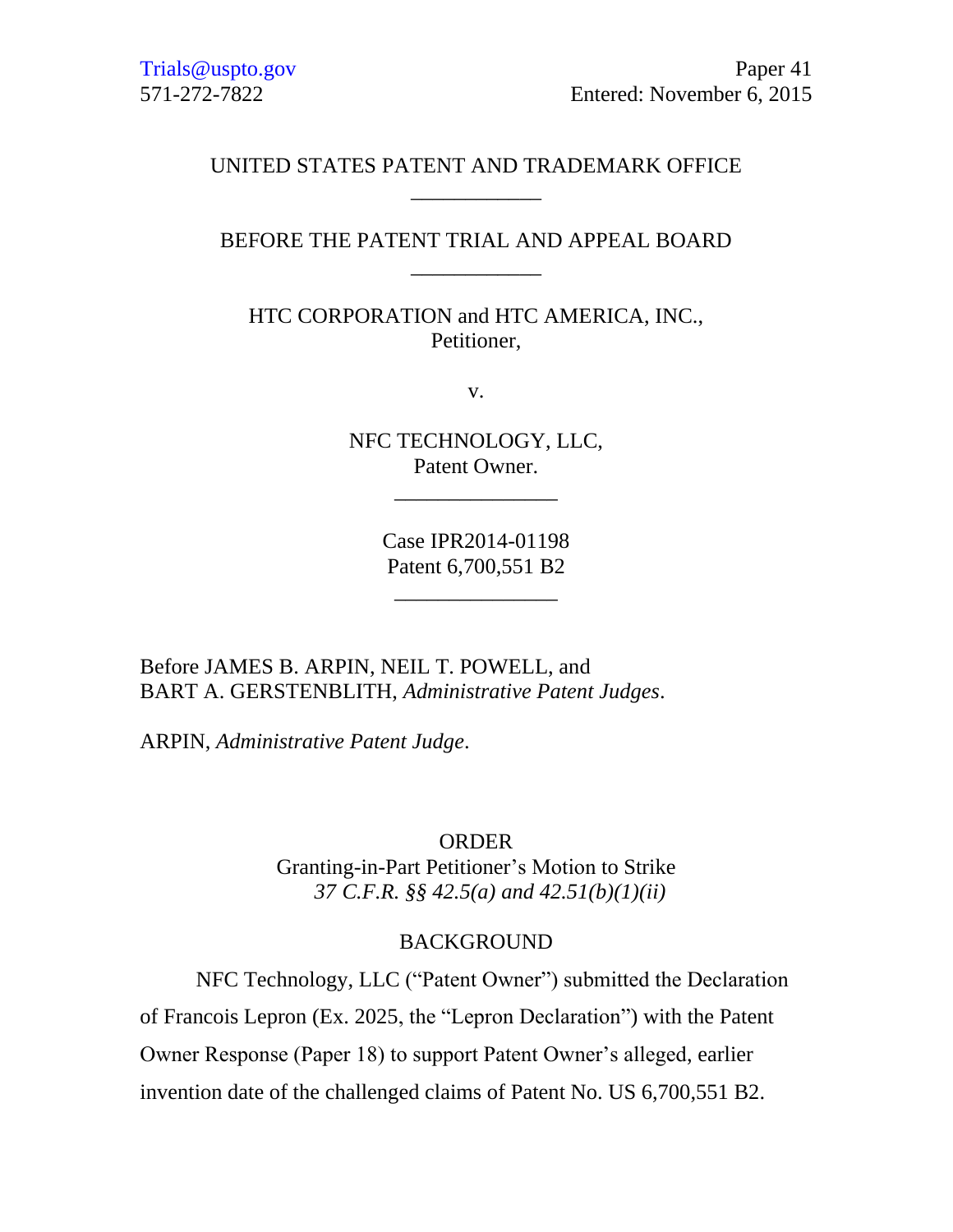## UNITED STATES PATENT AND TRADEMARK OFFICE \_\_\_\_\_\_\_\_\_\_\_\_

## BEFORE THE PATENT TRIAL AND APPEAL BOARD \_\_\_\_\_\_\_\_\_\_\_\_

HTC CORPORATION and HTC AMERICA, INC., Petitioner,

v.

NFC TECHNOLOGY, LLC, Patent Owner.

\_\_\_\_\_\_\_\_\_\_\_\_\_\_\_

Case IPR2014-01198 Patent 6,700,551 B2

\_\_\_\_\_\_\_\_\_\_\_\_\_\_\_

Before JAMES B. ARPIN, NEIL T. POWELL, and BART A. GERSTENBLITH, *Administrative Patent Judges*.

ARPIN, *Administrative Patent Judge*.

ORDER

Granting-in-Part Petitioner's Motion to Strike *37 C.F.R. §§ 42.5(a) and 42.51(b)(1)(ii)*

#### BACKGROUND

NFC Technology, LLC ("Patent Owner") submitted the Declaration of Francois Lepron (Ex. 2025, the "Lepron Declaration") with the Patent

Owner Response (Paper 18) to support Patent Owner's alleged, earlier

invention date of the challenged claims of Patent No. US 6,700,551 B2.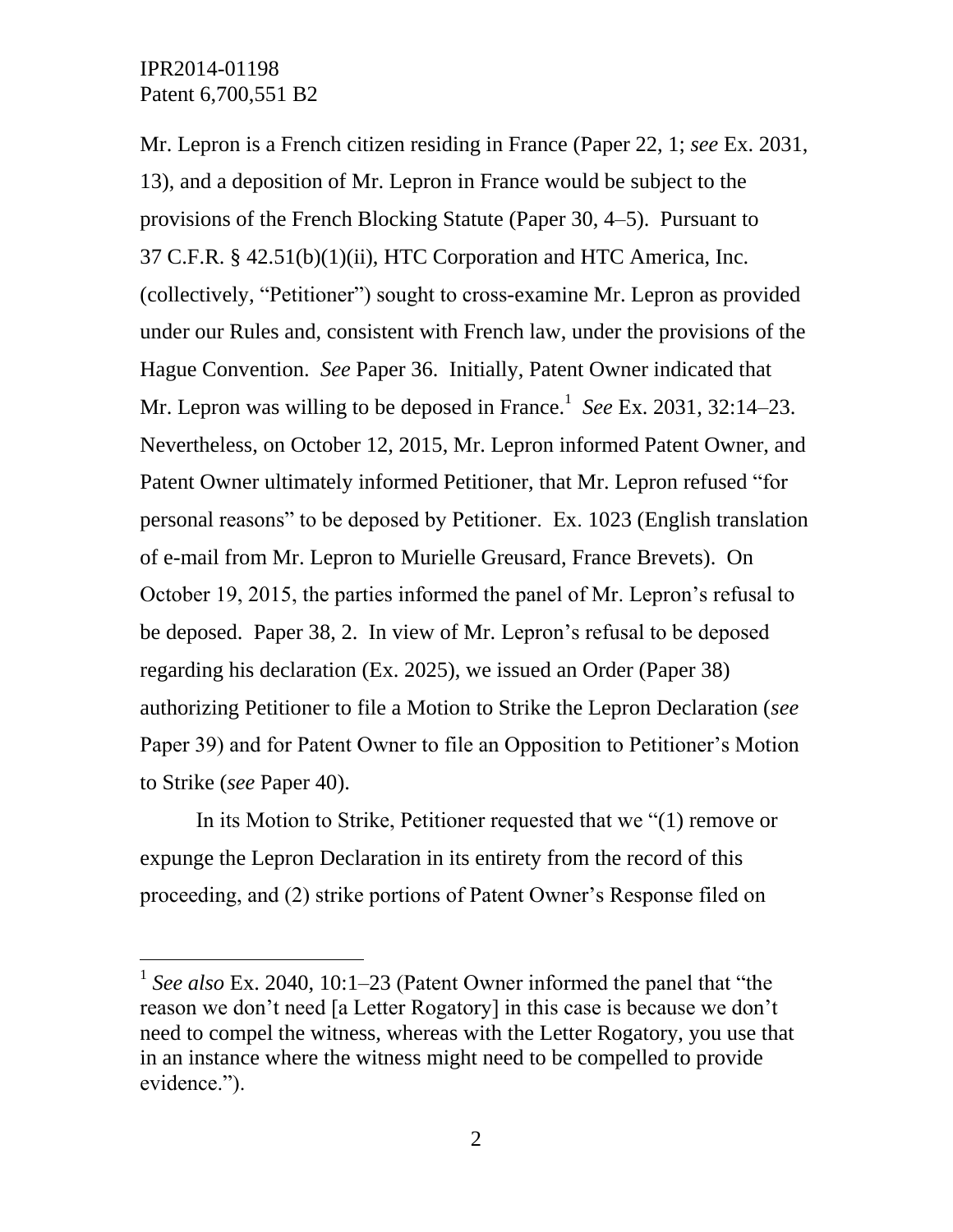$\overline{a}$ 

Mr. Lepron is a French citizen residing in France (Paper 22, 1; *see* Ex. 2031, 13), and a deposition of Mr. Lepron in France would be subject to the provisions of the French Blocking Statute (Paper 30, 4–5). Pursuant to 37 C.F.R. § 42.51(b)(1)(ii), HTC Corporation and HTC America, Inc. (collectively, "Petitioner") sought to cross-examine Mr. Lepron as provided under our Rules and, consistent with French law, under the provisions of the Hague Convention. *See* Paper 36. Initially, Patent Owner indicated that Mr. Lepron was willing to be deposed in France.<sup>1</sup> See Ex. 2031, 32:14–23. Nevertheless, on October 12, 2015, Mr. Lepron informed Patent Owner, and Patent Owner ultimately informed Petitioner, that Mr. Lepron refused "for personal reasons" to be deposed by Petitioner. Ex. 1023 (English translation of e-mail from Mr. Lepron to Murielle Greusard, France Brevets). On October 19, 2015, the parties informed the panel of Mr. Lepron's refusal to be deposed. Paper 38, 2. In view of Mr. Lepron's refusal to be deposed regarding his declaration (Ex. 2025), we issued an Order (Paper 38) authorizing Petitioner to file a Motion to Strike the Lepron Declaration (*see* Paper 39) and for Patent Owner to file an Opposition to Petitioner's Motion to Strike (*see* Paper 40).

In its Motion to Strike, Petitioner requested that we "(1) remove or expunge the Lepron Declaration in its entirety from the record of this proceeding, and (2) strike portions of Patent Owner's Response filed on

<sup>&</sup>lt;sup>1</sup> See also Ex. 2040, 10:1–23 (Patent Owner informed the panel that "the reason we don't need [a Letter Rogatory] in this case is because we don't need to compel the witness, whereas with the Letter Rogatory, you use that in an instance where the witness might need to be compelled to provide evidence.").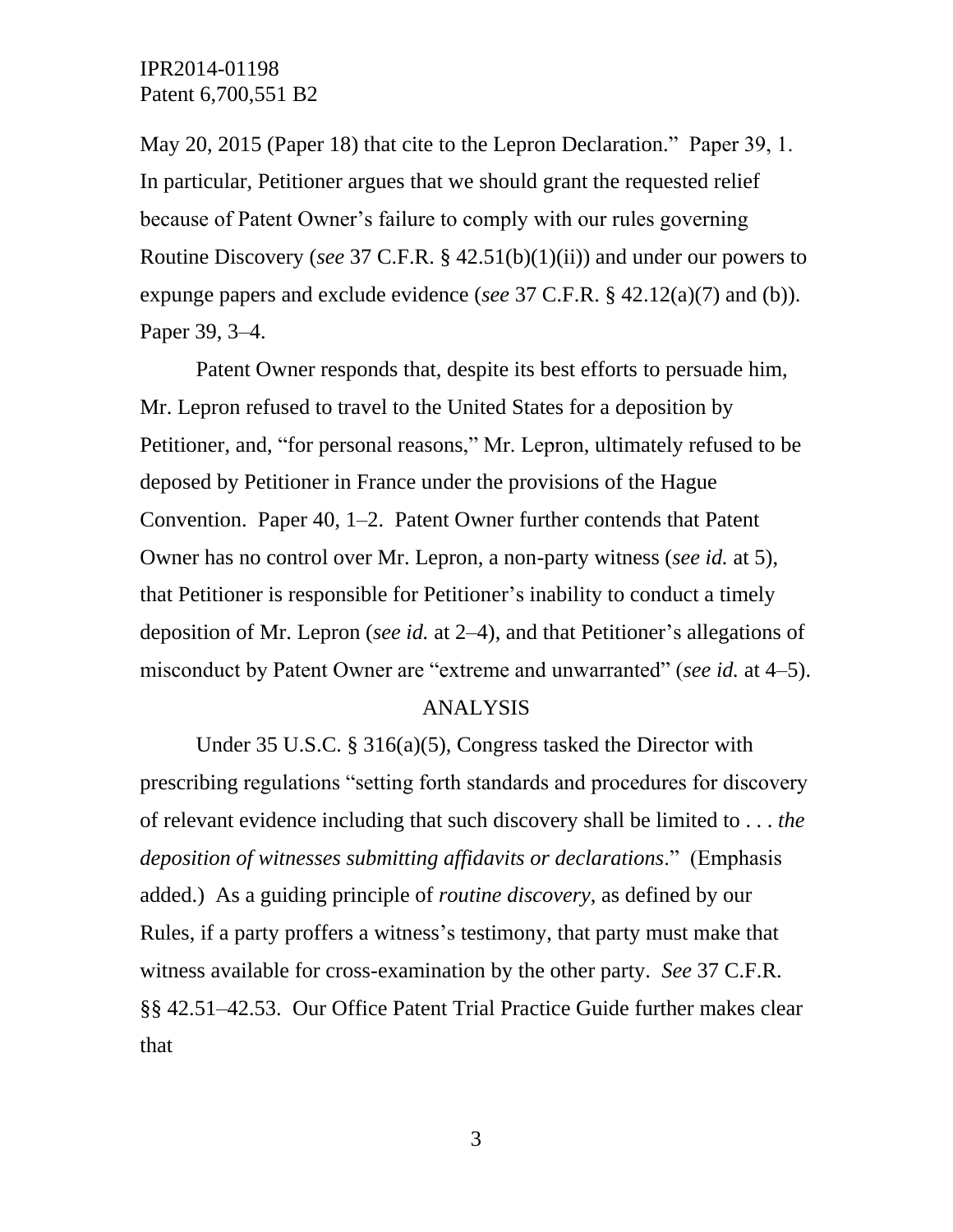May 20, 2015 (Paper 18) that cite to the Lepron Declaration." Paper 39, 1. In particular, Petitioner argues that we should grant the requested relief because of Patent Owner's failure to comply with our rules governing Routine Discovery (*see* 37 C.F.R. § 42.51(b)(1)(ii)) and under our powers to expunge papers and exclude evidence (*see* 37 C.F.R. § 42.12(a)(7) and (b)). Paper 39, 3–4.

Patent Owner responds that, despite its best efforts to persuade him, Mr. Lepron refused to travel to the United States for a deposition by Petitioner, and, "for personal reasons," Mr. Lepron, ultimately refused to be deposed by Petitioner in France under the provisions of the Hague Convention. Paper 40, 1–2. Patent Owner further contends that Patent Owner has no control over Mr. Lepron, a non-party witness (*see id.* at 5), that Petitioner is responsible for Petitioner's inability to conduct a timely deposition of Mr. Lepron (*see id.* at 2–4), and that Petitioner's allegations of misconduct by Patent Owner are "extreme and unwarranted" (*see id.* at 4–5).

#### ANALYSIS

Under 35 U.S.C. § 316(a)(5), Congress tasked the Director with prescribing regulations "setting forth standards and procedures for discovery of relevant evidence including that such discovery shall be limited to . . . *the deposition of witnesses submitting affidavits or declarations*." (Emphasis added.) As a guiding principle of *routine discovery*, as defined by our Rules, if a party proffers a witness's testimony, that party must make that witness available for cross-examination by the other party. *See* 37 C.F.R. §§ 42.51–42.53. Our Office Patent Trial Practice Guide further makes clear that

3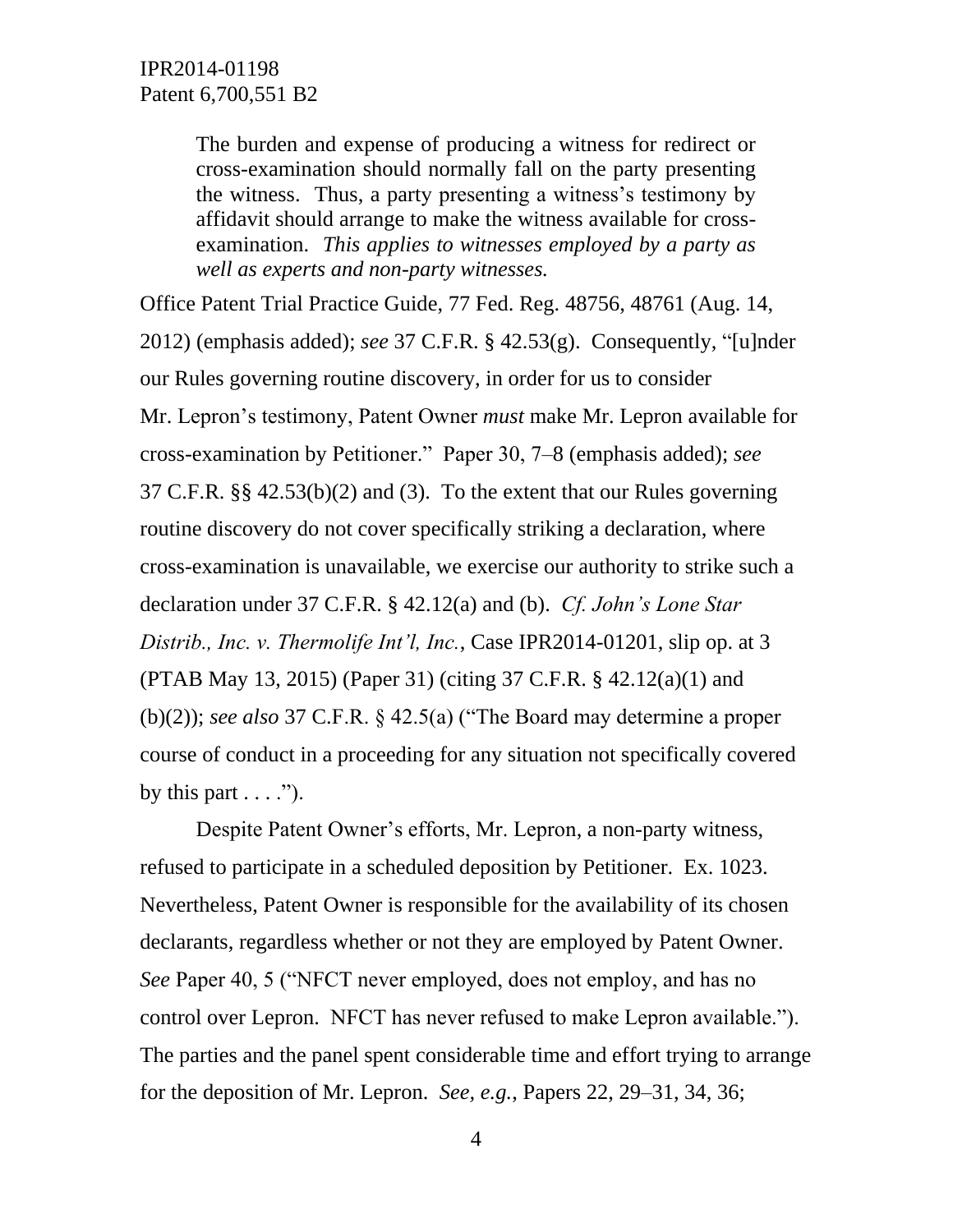The burden and expense of producing a witness for redirect or cross-examination should normally fall on the party presenting the witness. Thus, a party presenting a witness's testimony by affidavit should arrange to make the witness available for crossexamination. *This applies to witnesses employed by a party as well as experts and non-party witnesses.*

Office Patent Trial Practice Guide, 77 Fed. Reg. 48756, 48761 (Aug. 14, 2012) (emphasis added); *see* 37 C.F.R. § 42.53(g). Consequently, "[u]nder our Rules governing routine discovery, in order for us to consider Mr. Lepron's testimony, Patent Owner *must* make Mr. Lepron available for cross-examination by Petitioner." Paper 30, 7–8 (emphasis added); *see* 37 C.F.R. §§ 42.53(b)(2) and (3). To the extent that our Rules governing routine discovery do not cover specifically striking a declaration, where cross-examination is unavailable, we exercise our authority to strike such a declaration under 37 C.F.R. § 42.12(a) and (b). *Cf. John's Lone Star Distrib., Inc. v. Thermolife Int'l, Inc.*, Case IPR2014-01201, slip op. at 3 (PTAB May 13, 2015) (Paper 31) (citing 37 C.F.R. § 42.12(a)(1) and (b)(2)); *see also* 37 C.F.R. § 42.5(a) ("The Board may determine a proper course of conduct in a proceeding for any situation not specifically covered by this part  $\dots$ .").

Despite Patent Owner's efforts, Mr. Lepron, a non-party witness, refused to participate in a scheduled deposition by Petitioner. Ex. 1023. Nevertheless, Patent Owner is responsible for the availability of its chosen declarants, regardless whether or not they are employed by Patent Owner. *See* Paper 40, 5 ("NFCT never employed, does not employ, and has no control over Lepron. NFCT has never refused to make Lepron available."). The parties and the panel spent considerable time and effort trying to arrange for the deposition of Mr. Lepron. *See, e.g.*, Papers 22, 29–31, 34, 36;

4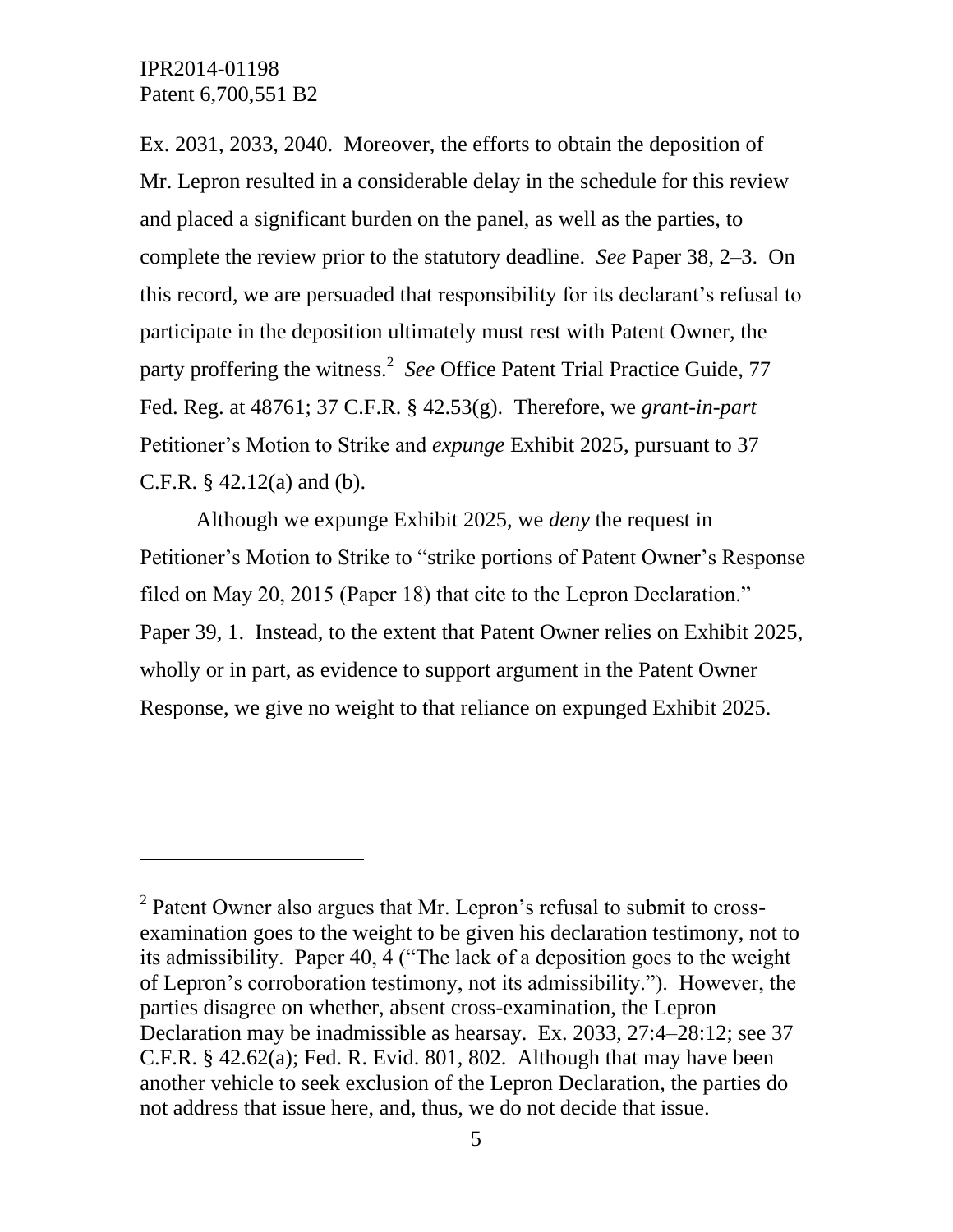$\overline{a}$ 

Ex. 2031, 2033, 2040. Moreover, the efforts to obtain the deposition of Mr. Lepron resulted in a considerable delay in the schedule for this review and placed a significant burden on the panel, as well as the parties, to complete the review prior to the statutory deadline. *See* Paper 38, 2–3. On this record, we are persuaded that responsibility for its declarant's refusal to participate in the deposition ultimately must rest with Patent Owner, the party proffering the witness.<sup>2</sup> See Office Patent Trial Practice Guide, 77 Fed. Reg. at 48761; 37 C.F.R. § 42.53(g). Therefore, we *grant-in-part* Petitioner's Motion to Strike and *expunge* Exhibit 2025, pursuant to 37 C.F.R. § 42.12(a) and (b).

Although we expunge Exhibit 2025, we *deny* the request in Petitioner's Motion to Strike to "strike portions of Patent Owner's Response filed on May 20, 2015 (Paper 18) that cite to the Lepron Declaration." Paper 39, 1. Instead, to the extent that Patent Owner relies on Exhibit 2025, wholly or in part, as evidence to support argument in the Patent Owner Response, we give no weight to that reliance on expunged Exhibit 2025.

 $2$  Patent Owner also argues that Mr. Lepron's refusal to submit to crossexamination goes to the weight to be given his declaration testimony, not to its admissibility. Paper 40, 4 ("The lack of a deposition goes to the weight of Lepron's corroboration testimony, not its admissibility."). However, the parties disagree on whether, absent cross-examination, the Lepron Declaration may be inadmissible as hearsay. Ex. 2033, 27:4–28:12; see 37 C.F.R.  $\S$  42.62(a); Fed. R. Evid. 801, 802. Although that may have been another vehicle to seek exclusion of the Lepron Declaration, the parties do not address that issue here, and, thus, we do not decide that issue.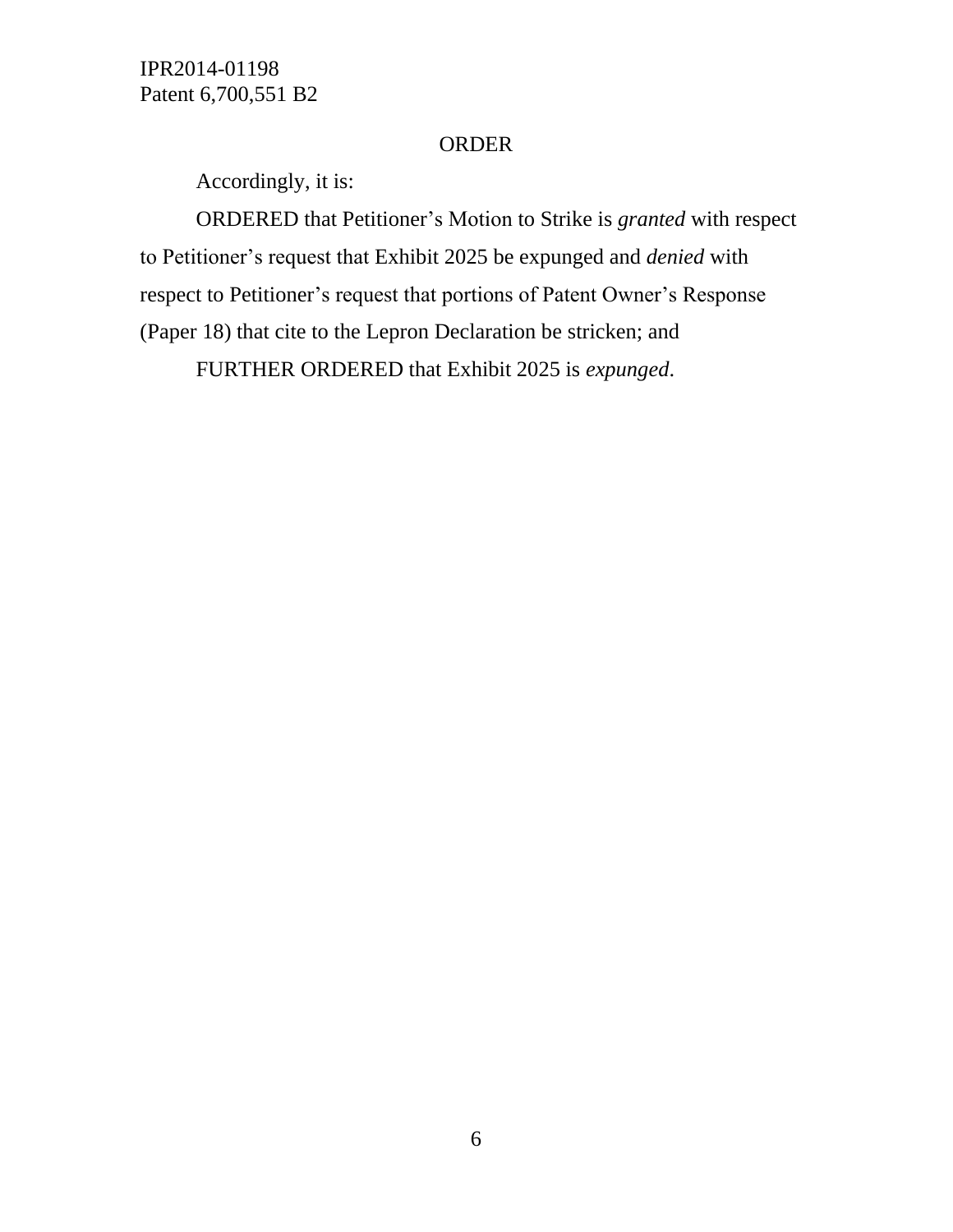# ORDER

Accordingly, it is:

ORDERED that Petitioner's Motion to Strike is *granted* with respect to Petitioner's request that Exhibit 2025 be expunged and *denied* with respect to Petitioner's request that portions of Patent Owner's Response (Paper 18) that cite to the Lepron Declaration be stricken; and

FURTHER ORDERED that Exhibit 2025 is *expunged*.